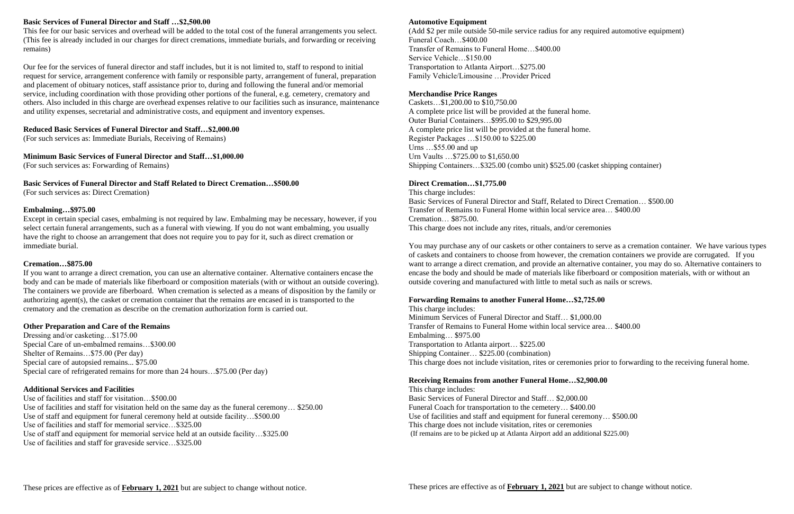## **Basic Services of Funeral Director and Staff …\$2,500.00**

This fee for our basic services and overhead will be added to the total cost of the funeral arrangements you select. (This fee is already included in our charges for direct cremations, immediate burials, and forwarding or receiving remains)

Our fee for the services of funeral director and staff includes, but it is not limited to, staff to respond to initial request for service, arrangement conference with family or responsible party, arrangement of funeral, preparation and placement of obituary notices, staff assistance prior to, during and following the funeral and/or memorial service, including coordination with those providing other portions of the funeral, e.g. cemetery, crematory and others. Also included in this charge are overhead expenses relative to our facilities such as insurance, maintenance and utility expenses, secretarial and administrative costs, and equipment and inventory expenses.

## **Reduced Basic Services of Funeral Director and Staff…\$2,000.00**

(For such services as: Immediate Burials, Receiving of Remains)

**Minimum Basic Services of Funeral Director and Staff…\$1,000.00**

(For such services as: Forwarding of Remains)

**Basic Services of Funeral Director and Staff Related to Direct Cremation…\$500.00** (For such services as: Direct Cremation)

## **Embalming…\$975.00**

Except in certain special cases, embalming is not required by law. Embalming may be necessary, however, if you select certain funeral arrangements, such as a funeral with viewing. If you do not want embalming, you usually have the right to choose an arrangement that does not require you to pay for it, such as direct cremation or immediate burial.

### **Cremation…\$875.00**

If you want to arrange a direct cremation, you can use an alternative container. Alternative containers encase the body and can be made of materials like fiberboard or composition materials (with or without an outside covering). The containers we provide are fiberboard. When cremation is selected as a means of disposition by the family or authorizing agent(s), the casket or cremation container that the remains are encased in is transported to the crematory and the cremation as describe on the cremation authorization form is carried out.

### **Other Preparation and Care of the Remains**

Dressing and/or casketing…\$175.00 Special Care of un-embalmed remains…\$300.00 Shelter of Remains…\$75.00 (Per day) Special care of autopsied remains... \$75.00 Special care of refrigerated remains for more than 24 hours…\$75.00 (Per day)

## **Additional Services and Facilities**

Use of facilities and staff for visitation…\$500.00 Use of facilities and staff for visitation held on the same day as the funeral ceremony… \$250.00 Use of staff and equipment for funeral ceremony held at outside facility…\$500.00 Use of facilities and staff for memorial service…\$325.00 Use of staff and equipment for memorial service held at an outside facility…\$325.00 Use of facilities and staff for graveside service…\$325.00

#### **Automotive Equipment**

(Add \$2 per mile outside 50-mile service radius for any required automotive equipment) Funeral Coach…\$400.00 Transfer of Remains to Funeral Home…\$400.00 Service Vehicle…\$150.00 Transportation to Atlanta Airport…\$275.00 Family Vehicle/Limousine …Provider Priced

## **Merchandise Price Ranges**

Caskets…\$1,200.00 to \$10,750.00 A complete price list will be provided at the funeral home. Outer Burial Containers…\$995.00 to \$29,995.00 A complete price list will be provided at the funeral home. Register Packages …\$150.00 to \$225.00 Urns …\$55.00 and up Urn Vaults …\$725.00 to \$1,650.00 Shipping Containers…\$325.00 (combo unit) \$525.00 (casket shipping container)

## **Direct Cremation…\$1,775.00**

This charge includes: Basic Services of Funeral Director and Staff, Related to Direct Cremation… \$500.00 Transfer of Remains to Funeral Home within local service area… \$400.00 Cremation… \$875.00. This charge does not include any rites, rituals, and/or ceremonies

You may purchase any of our caskets or other containers to serve as a cremation container. We have various types of caskets and containers to choose from however, the cremation containers we provide are corrugated. If you want to arrange a direct cremation, and provide an alternative container, you may do so. Alternative containers to encase the body and should be made of materials like fiberboard or composition materials, with or without an outside covering and manufactured with little to metal such as nails or screws.

# **Forwarding Remains to another Funeral Home…\$2,725.00**

This charge includes: Minimum Services of Funeral Director and Staff… \$1,000.00 Transfer of Remains to Funeral Home within local service area… \$400.00 Embalming… \$975.00 Transportation to Atlanta airport… \$225.00 Shipping Container… \$225.00 (combination) This charge does not include visitation, rites or ceremonies prior to forwarding to the receiving funeral home.

#### **Receiving Remains from another Funeral Home…\$2,900.00** This charge includes:

Basic Services of Funeral Director and Staff… \$2,000.00 Funeral Coach for transportation to the cemetery… \$400.00 Use of facilities and staff and equipment for funeral ceremony… \$500.00 This charge does not include visitation, rites or ceremonies (If remains are to be picked up at Atlanta Airport add an additional \$225.00)